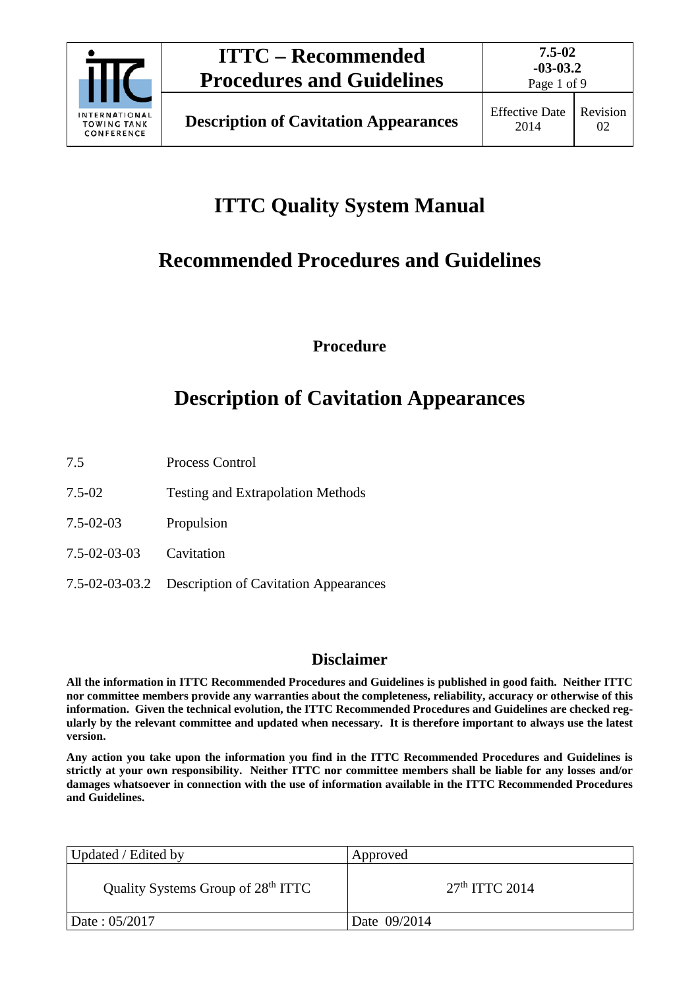

Page 1 of 9

# **ITTC Quality System Manual**

# **Recommended Procedures and Guidelines**

**Procedure**

## **Description of Cavitation Appearances**

- 7.5 Process Control
- 7.5-02 Testing and Extrapolation Methods
- 7.5-02-03 Propulsion
- 7.5-02-03-03 Cavitation
- 7.5-02-03-03.2 Description of Cavitation Appearances

### **Disclaimer**

**All the information in ITTC Recommended Procedures and Guidelines is published in good faith. Neither ITTC nor committee members provide any warranties about the completeness, reliability, accuracy or otherwise of this information. Given the technical evolution, the ITTC Recommended Procedures and Guidelines are checked regularly by the relevant committee and updated when necessary. It is therefore important to always use the latest version.**

**Any action you take upon the information you find in the ITTC Recommended Procedures and Guidelines is strictly at your own responsibility. Neither ITTC nor committee members shall be liable for any losses and/or damages whatsoever in connection with the use of information available in the ITTC Recommended Procedures and Guidelines.**

| Updated / Edited by                            | Approved         |
|------------------------------------------------|------------------|
| Quality Systems Group of 28 <sup>th</sup> ITTC | $27th$ ITTC 2014 |
| Date: 05/2017                                  | Date 09/2014     |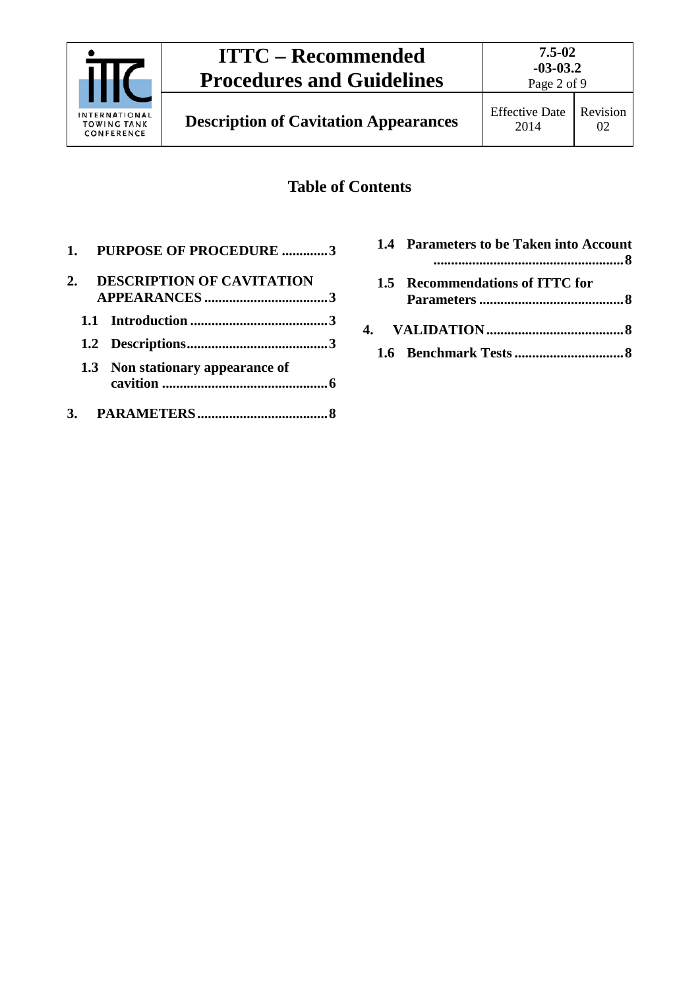

Page 2 of 9

## **Table of Contents**

|    | 1. PURPOSE OF PROCEDURE 3        |  |
|----|----------------------------------|--|
| 2. | <b>DESCRIPTION OF CAVITATION</b> |  |
|    |                                  |  |
|    |                                  |  |
|    | 1.3 Non stationary appearance of |  |
|    |                                  |  |

|  | 1.4 Parameters to be Taken into Account |  |
|--|-----------------------------------------|--|
|  | 1.5 Recommendations of ITTC for         |  |
|  |                                         |  |
|  |                                         |  |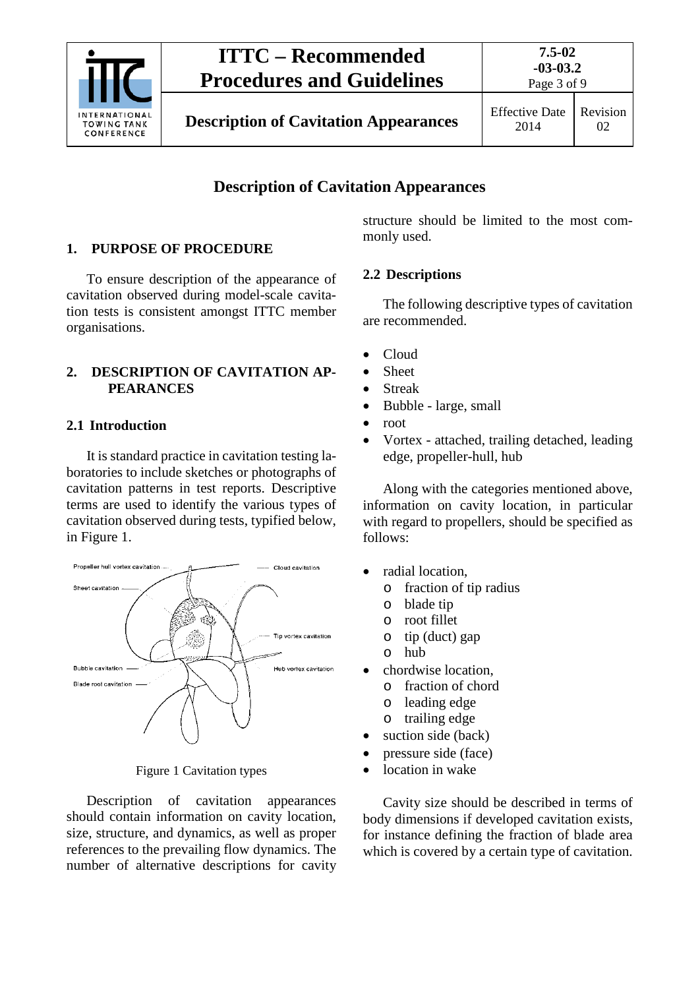

Page 3 of 9

## **Description of Cavitation Appearances**

#### <span id="page-2-0"></span>**1. PURPOSE OF PROCEDURE**

To ensure description of the appearance of cavitation observed during model-scale cavitation tests is consistent amongst ITTC member organisations.

#### <span id="page-2-1"></span>**2. DESCRIPTION OF CAVITATION AP-PEARANCES**

#### <span id="page-2-2"></span>**2.1 Introduction**

It is standard practice in cavitation testing laboratories to include sketches or photographs of cavitation patterns in test reports. Descriptive terms are used to identify the various types of cavitation observed during tests, typified below, in Figure 1.



Figure 1 Cavitation types

Description of cavitation appearances should contain information on cavity location, size, structure, and dynamics, as well as proper references to the prevailing flow dynamics. The number of alternative descriptions for cavity structure should be limited to the most commonly used.

#### <span id="page-2-3"></span>**2.2 Descriptions**

The following descriptive types of cavitation are recommended.

- Cloud
- Sheet
- Streak
- Bubble large, small
- root
- Vortex attached, trailing detached, leading edge, propeller-hull, hub

Along with the categories mentioned above, information on cavity location, in particular with regard to propellers, should be specified as follows:

- radial location,
	- o fraction of tip radius
		- o blade tip
		- o root fillet
	- o tip (duct) gap
	- o hub
- chordwise location.
	- o fraction of chord
	- o leading edge
	- o trailing edge
- suction side (back)
- pressure side (face)
- location in wake

Cavity size should be described in terms of body dimensions if developed cavitation exists, for instance defining the fraction of blade area which is covered by a certain type of cavitation.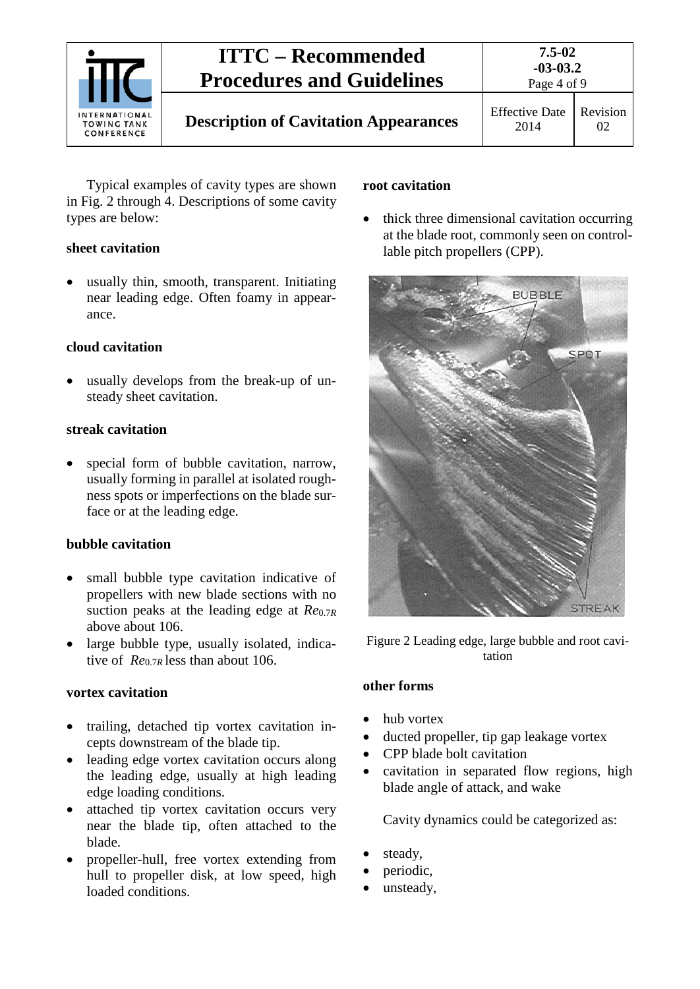

Typical examples of cavity types are shown in Fig. 2 through 4. Descriptions of some cavity types are below:

#### **sheet cavitation**

• usually thin, smooth, transparent. Initiating near leading edge. Often foamy in appearance.

#### **cloud cavitation**

usually develops from the break-up of unsteady sheet cavitation.

#### **streak cavitation**

special form of bubble cavitation, narrow, usually forming in parallel at isolated roughness spots or imperfections on the blade surface or at the leading edge.

### **bubble cavitation**

- small bubble type cavitation indicative of propellers with new blade sections with no suction peaks at the leading edge at *Re*0.7*<sup>R</sup>* above about 106.
- large bubble type, usually isolated, indicative of *Re*0.7*R* less than about 106.

### **vortex cavitation**

- trailing, detached tip vortex cavitation incepts downstream of the blade tip.
- leading edge vortex cavitation occurs along the leading edge, usually at high leading edge loading conditions.
- attached tip vortex cavitation occurs very near the blade tip, often attached to the blade.
- propeller-hull, free vortex extending from hull to propeller disk, at low speed, high loaded conditions.

#### **root cavitation**

• thick three dimensional cavitation occurring at the blade root, commonly seen on controllable pitch propellers (CPP).



Figure 2 Leading edge, large bubble and root cavitation

#### **other forms**

- hub vortex
- ducted propeller, tip gap leakage vortex
- CPP blade bolt cavitation
- cavitation in separated flow regions, high blade angle of attack, and wake

Cavity dynamics could be categorized as:

- steady,
- periodic,
- unsteady,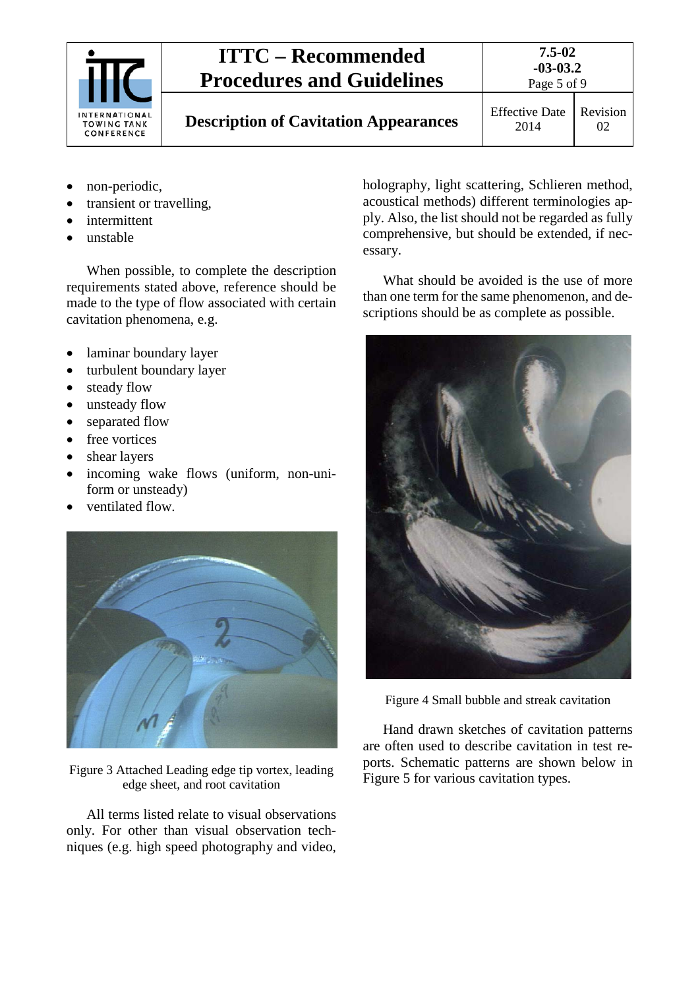

**-03-03.2** Page 5 of 9

**7.5-02**

2014

Revision 02

- non-periodic,
- transient or travelling,
- intermittent
- unstable

When possible, to complete the description requirements stated above, reference should be made to the type of flow associated with certain cavitation phenomena, e.g.

- laminar boundary layer
- turbulent boundary layer
- steady flow
- unsteady flow
- separated flow
- free vortices
- shear layers
- incoming wake flows (uniform, non-uniform or unsteady)
- ventilated flow.



Figure 3 Attached Leading edge tip vortex, leading edge sheet, and root cavitation

All terms listed relate to visual observations only. For other than visual observation techniques (e.g. high speed photography and video,

holography, light scattering, Schlieren method, acoustical methods) different terminologies apply. Also, the list should not be regarded as fully comprehensive, but should be extended, if necessary.

What should be avoided is the use of more than one term for the same phenomenon, and descriptions should be as complete as possible.



Figure 4 Small bubble and streak cavitation

Hand drawn sketches of cavitation patterns are often used to describe cavitation in test reports. Schematic patterns are shown below in Figure 5 for various cavitation types.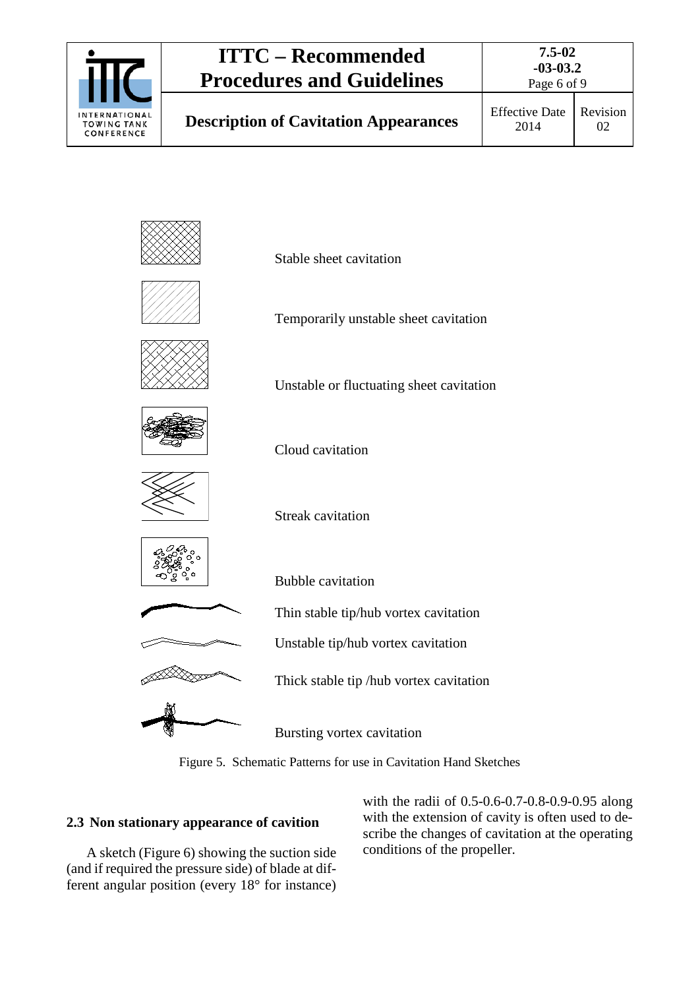

02









Temporarily unstable sheet cavitation

Unstable or fluctuating sheet cavitation



Cloud cavitation



Streak cavitation



Bubble cavitation





Bursting vortex cavitation

Thick stable tip /hub vortex cavitation

Figure 5. Schematic Patterns for use in Cavitation Hand Sketches

### <span id="page-5-0"></span>**2.3 Non stationary appearance of cavition**

A sketch (Figure 6) showing the suction side (and if required the pressure side) of blade at different angular position (every 18° for instance) with the radii of 0.5-0.6-0.7-0.8-0.9-0.95 along with the extension of cavity is often used to describe the changes of cavitation at the operating conditions of the propeller.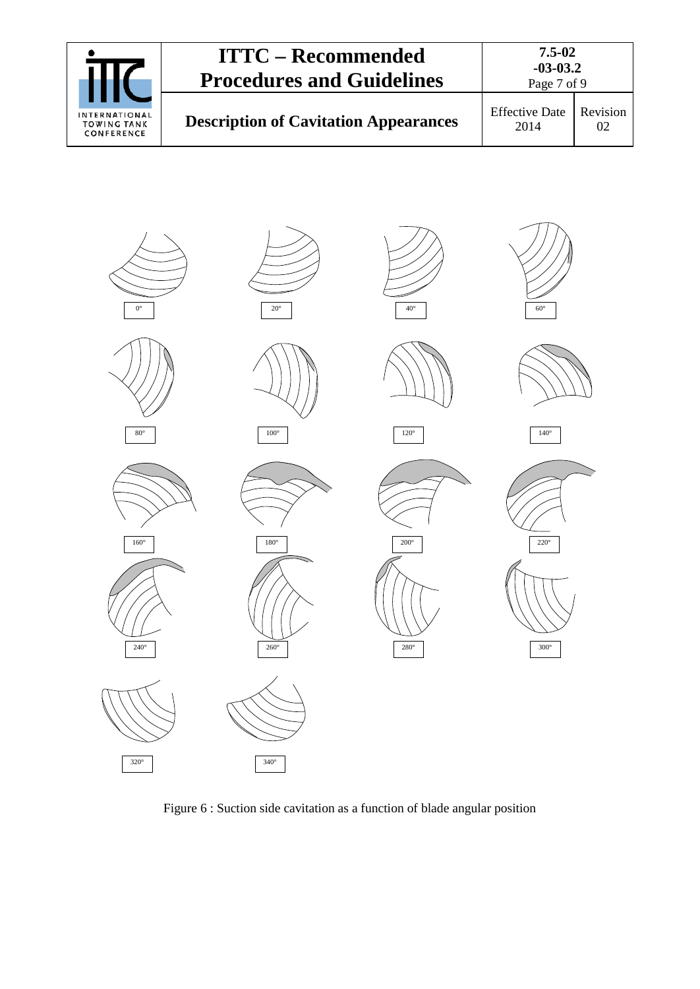|                                                   | <b>ITTC – Recommended</b><br><b>Procedures and Guidelines</b> | 7.5-02<br>$-03-03.2$<br>Page 7 of 9 |                |
|---------------------------------------------------|---------------------------------------------------------------|-------------------------------------|----------------|
| INTERNATIONAL<br><b>TOWING TANK</b><br>CONFERENCE | <b>Description of Cavitation Appearances</b>                  | <b>Effective Date</b><br>2014       | Revision<br>02 |



Figure 6 : Suction side cavitation as a function of blade angular position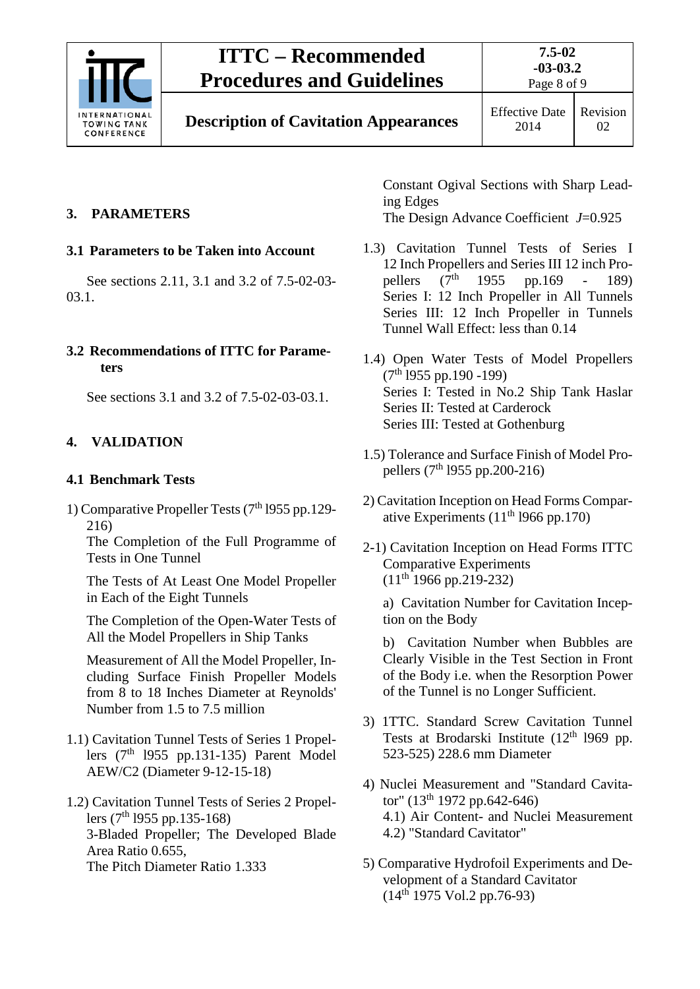

## <span id="page-7-1"></span><span id="page-7-0"></span>**3. PARAMETERS**

### **3.1 Parameters to be Taken into Account**

See sections 2.11, 3.1 and 3.2 of 7.5-02-03- 03.1.

#### <span id="page-7-2"></span>**3.2 Recommendations of ITTC for Parameters**

See sections 3.1 and 3.2 of 7.5-02-03-03.1.

## <span id="page-7-4"></span><span id="page-7-3"></span>**4. VALIDATION**

### **4.1 Benchmark Tests**

1) Comparative Propeller Tests (7th l955 pp.129- 216)

The Completion of the Full Programme of Tests in One Tunnel

The Tests of At Least One Model Propeller in Each of the Eight Tunnels

The Completion of the Open-Water Tests of All the Model Propellers in Ship Tanks

Measurement of All the Model Propeller, Including Surface Finish Propeller Models from 8 to 18 Inches Diameter at Reynolds' Number from 1.5 to 7.5 million

- 1.1) Cavitation Tunnel Tests of Series 1 Propellers  $(7<sup>th</sup> 1955 pp.131-135)$  Parent Model AEW/C2 (Diameter 9-12-15-18)
- 1.2) Cavitation Tunnel Tests of Series 2 Propellers (7<sup>th</sup> 1955 pp.135-168) 3-Bladed Propeller; The Developed Blade Area Ratio 0.655, The Pitch Diameter Ratio 1.333

Constant Ogival Sections with Sharp Leading Edges The Design Advance Coefficient *J*=0.925

- 1.3) Cavitation Tunnel Tests of Series I 12 Inch Propellers and Series III 12 inch Propellers  $(7<sup>th</sup> 1955$  pp.169 - 189) pellers  $(7^{th}$  1955 pp.169 - 189) Series I: 12 Inch Propeller in All Tunnels Series III: 12 Inch Propeller in Tunnels Tunnel Wall Effect: less than 0.14
- 1.4) Open Water Tests of Model Propellers (7th l955 pp.190 -199) Series I: Tested in No.2 Ship Tank Haslar Series II: Tested at Carderock Series III: Tested at Gothenburg
- 1.5) Tolerance and Surface Finish of Model Propellers (7<sup>th</sup> 1955 pp.200-216)
- 2) Cavitation Inception on Head Forms Comparative Experiments  $(11<sup>th</sup> 1966$  pp.170)
- 2-1) Cavitation Inception on Head Forms ITTC Comparative Experiments  $(11<sup>th</sup> 1966 pp.219-232)$

a) Cavitation Number for Cavitation Inception on the Body

b) Cavitation Number when Bubbles are Clearly Visible in the Test Section in Front of the Body i.e. when the Resorption Power of the Tunnel is no Longer Sufficient.

- 3) 1TTC. Standard Screw Cavitation Tunnel Tests at Brodarski Institute  $(12<sup>th</sup> 1969$  pp. 523-525) 228.6 mm Diameter
- 4) Nuclei Measurement and "Standard Cavitator" (13<sup>th</sup> 1972 pp.642-646) 4.1) Air Content- and Nuclei Measurement 4.2) "Standard Cavitator"
- 5) Comparative Hydrofoil Experiments and Development of a Standard Cavitator  $(14^{th}$  1975 Vol.2 pp.76-93)